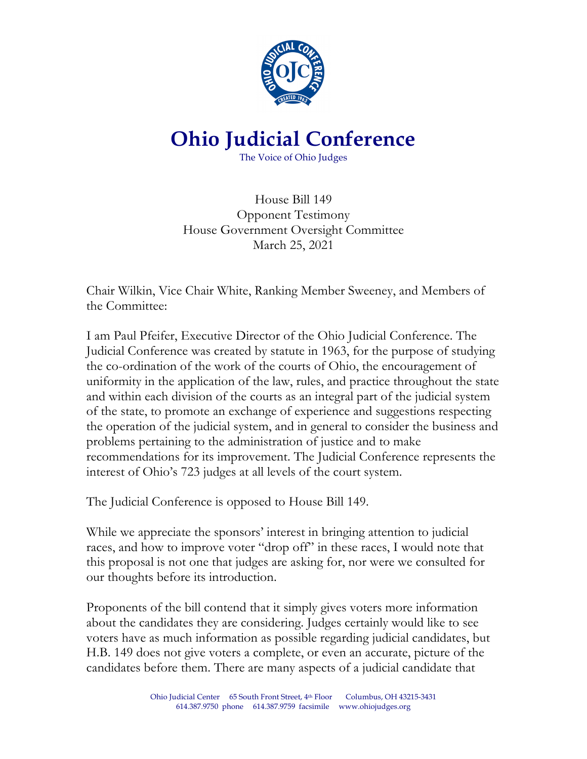

# **Ohio Judicial Conference**

The Voice of Ohio Judges

House Bill 149 Opponent Testimony House Government Oversight Committee March 25, 2021

Chair Wilkin, Vice Chair White, Ranking Member Sweeney, and Members of the Committee:

I am Paul Pfeifer, Executive Director of the Ohio Judicial Conference. The Judicial Conference was created by statute in 1963, for the purpose of studying the co-ordination of the work of the courts of Ohio, the encouragement of uniformity in the application of the law, rules, and practice throughout the state and within each division of the courts as an integral part of the judicial system of the state, to promote an exchange of experience and suggestions respecting the operation of the judicial system, and in general to consider the business and problems pertaining to the administration of justice and to make recommendations for its improvement. The Judicial Conference represents the interest of Ohio's 723 judges at all levels of the court system.

The Judicial Conference is opposed to House Bill 149.

While we appreciate the sponsors' interest in bringing attention to judicial races, and how to improve voter "drop off" in these races, I would note that this proposal is not one that judges are asking for, nor were we consulted for our thoughts before its introduction.

Proponents of the bill contend that it simply gives voters more information about the candidates they are considering. Judges certainly would like to see voters have as much information as possible regarding judicial candidates, but H.B. 149 does not give voters a complete, or even an accurate, picture of the candidates before them. There are many aspects of a judicial candidate that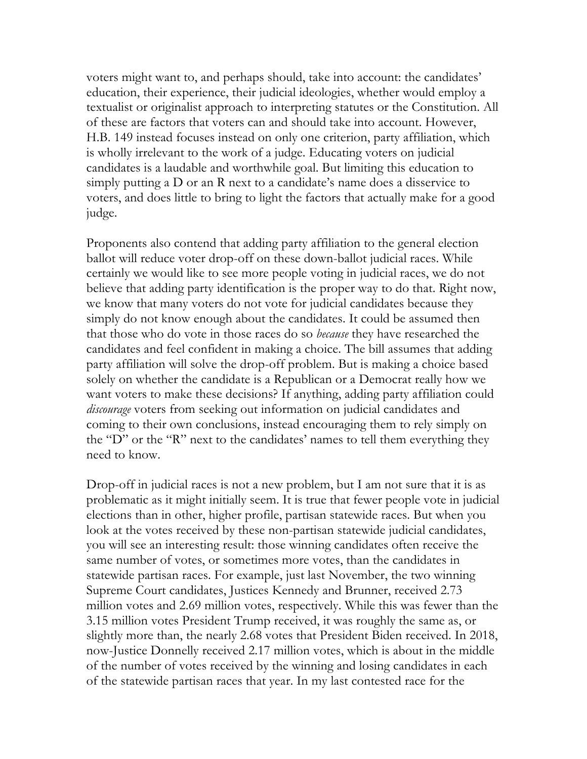voters might want to, and perhaps should, take into account: the candidates' education, their experience, their judicial ideologies, whether would employ a textualist or originalist approach to interpreting statutes or the Constitution. All of these are factors that voters can and should take into account. However, H.B. 149 instead focuses instead on only one criterion, party affiliation, which is wholly irrelevant to the work of a judge. Educating voters on judicial candidates is a laudable and worthwhile goal. But limiting this education to simply putting a D or an R next to a candidate's name does a disservice to voters, and does little to bring to light the factors that actually make for a good judge.

Proponents also contend that adding party affiliation to the general election ballot will reduce voter drop-off on these down-ballot judicial races. While certainly we would like to see more people voting in judicial races, we do not believe that adding party identification is the proper way to do that. Right now, we know that many voters do not vote for judicial candidates because they simply do not know enough about the candidates. It could be assumed then that those who do vote in those races do so *because* they have researched the candidates and feel confident in making a choice. The bill assumes that adding party affiliation will solve the drop-off problem. But is making a choice based solely on whether the candidate is a Republican or a Democrat really how we want voters to make these decisions? If anything, adding party affiliation could *discourage* voters from seeking out information on judicial candidates and coming to their own conclusions, instead encouraging them to rely simply on the "D" or the "R" next to the candidates' names to tell them everything they need to know.

Drop-off in judicial races is not a new problem, but I am not sure that it is as problematic as it might initially seem. It is true that fewer people vote in judicial elections than in other, higher profile, partisan statewide races. But when you look at the votes received by these non-partisan statewide judicial candidates, you will see an interesting result: those winning candidates often receive the same number of votes, or sometimes more votes, than the candidates in statewide partisan races. For example, just last November, the two winning Supreme Court candidates, Justices Kennedy and Brunner, received 2.73 million votes and 2.69 million votes, respectively. While this was fewer than the 3.15 million votes President Trump received, it was roughly the same as, or slightly more than, the nearly 2.68 votes that President Biden received. In 2018, now-Justice Donnelly received 2.17 million votes, which is about in the middle of the number of votes received by the winning and losing candidates in each of the statewide partisan races that year. In my last contested race for the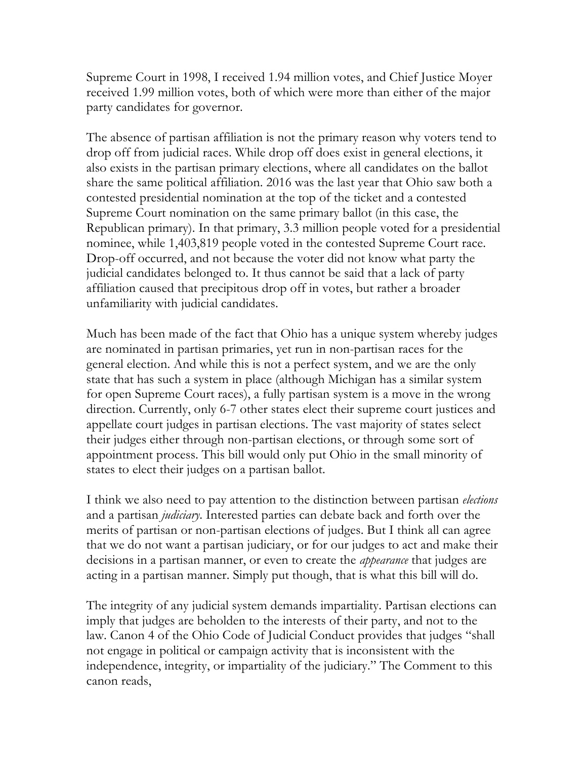Supreme Court in 1998, I received 1.94 million votes, and Chief Justice Moyer received 1.99 million votes, both of which were more than either of the major party candidates for governor.

The absence of partisan affiliation is not the primary reason why voters tend to drop off from judicial races. While drop off does exist in general elections, it also exists in the partisan primary elections, where all candidates on the ballot share the same political affiliation. 2016 was the last year that Ohio saw both a contested presidential nomination at the top of the ticket and a contested Supreme Court nomination on the same primary ballot (in this case, the Republican primary). In that primary, 3.3 million people voted for a presidential nominee, while 1,403,819 people voted in the contested Supreme Court race. Drop-off occurred, and not because the voter did not know what party the judicial candidates belonged to. It thus cannot be said that a lack of party affiliation caused that precipitous drop off in votes, but rather a broader unfamiliarity with judicial candidates.

Much has been made of the fact that Ohio has a unique system whereby judges are nominated in partisan primaries, yet run in non-partisan races for the general election. And while this is not a perfect system, and we are the only state that has such a system in place (although Michigan has a similar system for open Supreme Court races), a fully partisan system is a move in the wrong direction. Currently, only 6-7 other states elect their supreme court justices and appellate court judges in partisan elections. The vast majority of states select their judges either through non-partisan elections, or through some sort of appointment process. This bill would only put Ohio in the small minority of states to elect their judges on a partisan ballot.

I think we also need to pay attention to the distinction between partisan *elections* and a partisan *judiciary*. Interested parties can debate back and forth over the merits of partisan or non-partisan elections of judges. But I think all can agree that we do not want a partisan judiciary, or for our judges to act and make their decisions in a partisan manner, or even to create the *appearance* that judges are acting in a partisan manner. Simply put though, that is what this bill will do.

The integrity of any judicial system demands impartiality. Partisan elections can imply that judges are beholden to the interests of their party, and not to the law. Canon 4 of the Ohio Code of Judicial Conduct provides that judges "shall not engage in political or campaign activity that is inconsistent with the independence, integrity, or impartiality of the judiciary." The Comment to this canon reads,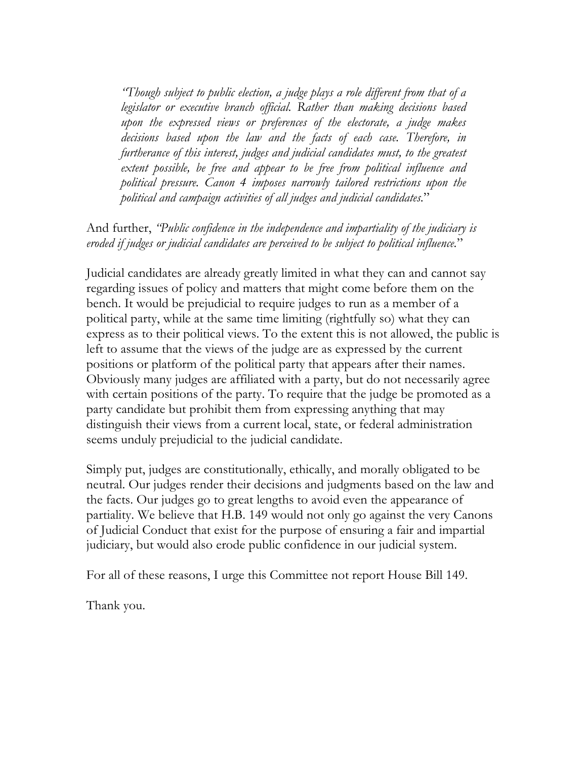*"Though subject to public election, a judge plays a role different from that of a legislator or executive branch official. Rather than making decisions based upon the expressed views or preferences of the electorate, a judge makes decisions based upon the law and the facts of each case. Therefore, in furtherance of this interest, judges and judicial candidates must, to the greatest extent possible, be free and appear to be free from political influence and political pressure. Canon 4 imposes narrowly tailored restrictions upon the political and campaign activities of all judges and judicial candidates.*"

And further, *"Public confidence in the independence and impartiality of the judiciary is eroded if judges or judicial candidates are perceived to be subject to political influence.*"

Judicial candidates are already greatly limited in what they can and cannot say regarding issues of policy and matters that might come before them on the bench. It would be prejudicial to require judges to run as a member of a political party, while at the same time limiting (rightfully so) what they can express as to their political views. To the extent this is not allowed, the public is left to assume that the views of the judge are as expressed by the current positions or platform of the political party that appears after their names. Obviously many judges are affiliated with a party, but do not necessarily agree with certain positions of the party. To require that the judge be promoted as a party candidate but prohibit them from expressing anything that may distinguish their views from a current local, state, or federal administration seems unduly prejudicial to the judicial candidate.

Simply put, judges are constitutionally, ethically, and morally obligated to be neutral. Our judges render their decisions and judgments based on the law and the facts. Our judges go to great lengths to avoid even the appearance of partiality. We believe that H.B. 149 would not only go against the very Canons of Judicial Conduct that exist for the purpose of ensuring a fair and impartial judiciary, but would also erode public confidence in our judicial system.

For all of these reasons, I urge this Committee not report House Bill 149.

Thank you.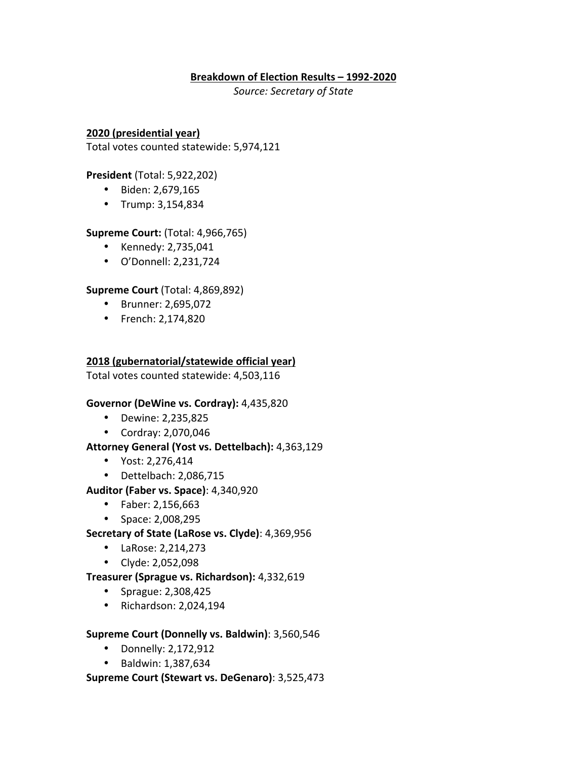# **Breakdown of Election Results – 1992-2020**

*Source: Secretary of State*

**2020 (presidential year)** Total votes counted statewide: 5,974,121

**President** (Total: 5,922,202)

- Biden: 2,679,165
- Trump: 3,154,834

# **Supreme Court:** (Total: 4,966,765)

- Kennedy: 2,735,041
- O'Donnell: 2,231,724

# **Supreme Court** (Total: 4,869,892)

- Brunner: 2,695,072
- French: 2,174,820

# **2018 (gubernatorial/statewide official year)**

Total votes counted statewide: 4,503,116

#### **Governor (DeWine vs. Cordray):** 4,435,820

- Dewine: 2,235,825
- Cordray: 2,070,046

#### Attorney General (Yost vs. Dettelbach): 4,363,129

- Yost: 2,276,414
- $\bullet$  Dettelbach: 2,086,715
- **Auditor (Faber vs. Space)**: 4,340,920
	- Faber: 2,156,663
	- Space: 2,008,295
- **Secretary of State (LaRose vs. Clyde)**: 4,369,956
	- LaRose: 2,214,273
	- Clyde: 2,052,098

#### **Treasurer (Sprague vs. Richardson):** 4,332,619

- Sprague: 2,308,425
- $\bullet$  Richardson: 2,024,194

#### **Supreme Court (Donnelly vs. Baldwin)**: 3,560,546

- Donnelly: 2,172,912
- Baldwin: 1,387,634

#### **Supreme Court (Stewart vs. DeGenaro)**: 3,525,473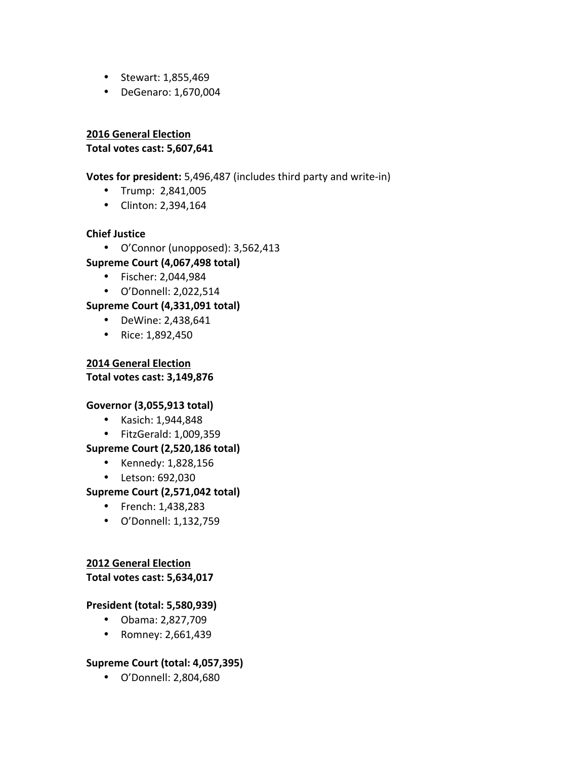- Stewart: 1,855,469
- DeGenaro: 1,670,004

**2016 General Election Total votes cast: 5,607,641**

**Votes for president:** 5,496,487 (includes third party and write-in)

- Trump: 2,841,005
- Clinton: 2,394,164

# **Chief Justice**

- O'Connor (unopposed): 3,562,413 **Supreme Court (4,067,498 total)**
	- Fischer: 2,044,984
	- O'Donnell: 2,022,514

**Supreme Court (4,331,091 total)**

- DeWine: 2,438,641
- Rice:  $1,892,450$

**2014 General Election Total votes cast: 3,149,876**

#### **Governor (3,055,913 total)**

- Kasich: 1,944,848
- FitzGerald: 1,009,359

# **Supreme Court (2,520,186 total)**

- Kennedy: 1,828,156
- Letson: 692,030

# **Supreme Court (2,571,042 total)**

- French: 1,438,283
- O'Donnell: 1,132,759

# **2012 General Election**

**Total votes cast: 5,634,017**

#### **President (total: 5,580,939)**

- Obama: 2,827,709
- Romney: 2,661,439

# **Supreme Court (total: 4,057,395)**

• O'Donnell: 2,804,680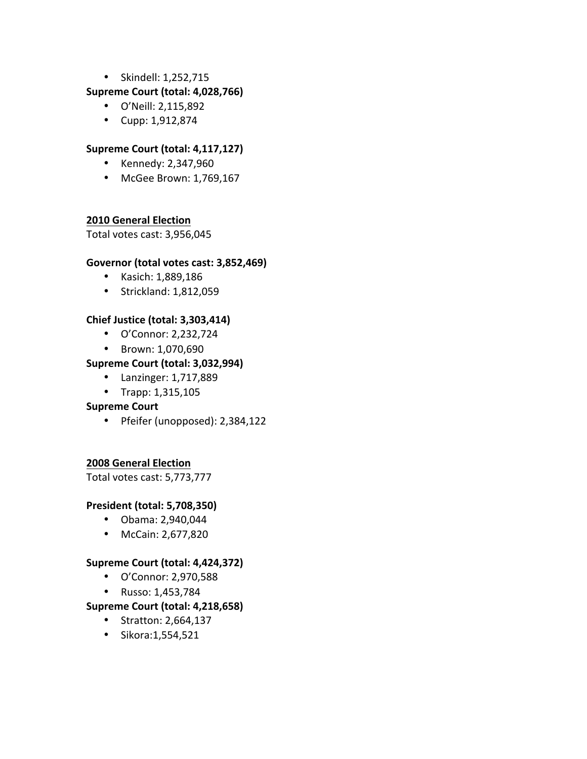• Skindell: 1,252,715

# **Supreme Court (total: 4,028,766)**

- O'Neill: 2,115,892
- Cupp: 1,912,874

# **Supreme Court (total: 4,117,127)**

- Kennedy: 2,347,960
- McGee Brown: 1,769,167

# **2010 General Election**

Total votes cast: 3,956,045

#### Governor (total votes cast: 3,852,469)

- Kasich: 1,889,186
- Strickland: 1,812,059

# **Chief Justice (total: 3,303,414)**

- O'Connor: 2,232,724
- Brown: 1,070,690

# **Supreme Court (total: 3,032,994)**

- Lanzinger: 1,717,889
- Trapp: 1,315,105

#### **Supreme Court**

• Pfeifer (unopposed): 2,384,122

#### **2008 General Election**

Total votes cast: 5,773,777

#### **President (total: 5,708,350)**

- Obama: 2,940,044
- McCain: 2,677,820

#### **Supreme Court (total: 4,424,372)**

- O'Connor: 2,970,588
- Russo: 1,453,784

# **Supreme Court (total: 4,218,658)**

- Stratton: 2,664,137
- Sikora:1,554,521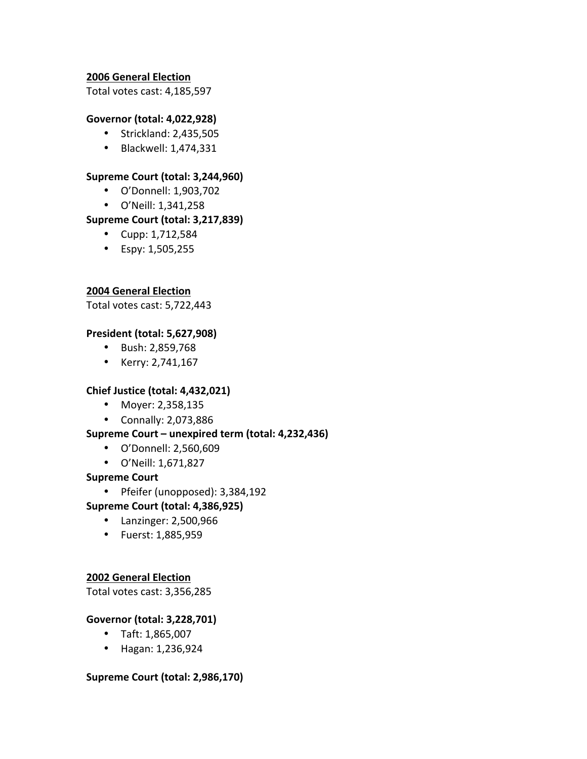# **2006 General Election**

Total votes cast: 4,185,597

#### **Governor (total: 4,022,928)**

- Strickland: 2,435,505
- Blackwell: 1,474,331

#### **Supreme Court (total: 3,244,960)**

- O'Donnell: 1,903,702
- O'Neill: 1,341,258

#### **Supreme Court (total: 3,217,839)**

- Cupp:  $1,712,584$
- Espy: 1,505,255

#### **2004 General Election**

Total votes cast: 5,722,443

#### **President (total: 5,627,908)**

- Bush: 2,859,768
- Kerry: 2,741,167

#### **Chief Justice (total: 4,432,021)**

- Moyer: 2,358,135
- Connally: 2,073,886

#### Supreme Court – unexpired term (total: 4,232,436)

- O'Donnell: 2,560,609
- O'Neill: 1,671,827

#### **Supreme Court**

• Pfeifer (unopposed): 3,384,192

#### **Supreme Court (total: 4,386,925)**

- Lanzinger: 2,500,966
- Fuerst: 1,885,959

#### **2002 General Election**

Total votes cast: 3,356,285

#### **Governor (total: 3,228,701)**

- Taft: 1,865,007
- Hagan: 1,236,924

#### **Supreme Court (total: 2,986,170)**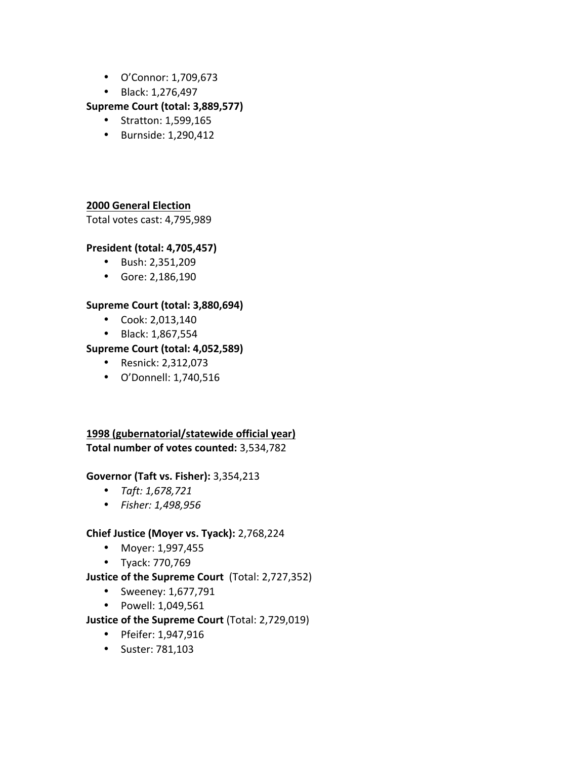- O'Connor: 1,709,673
- Black: 1,276,497

# **Supreme Court (total: 3,889,577)**

- Stratton: 1,599,165
- Burnside: 1,290,412

# **2000 General Election**

Total votes cast: 4,795,989

# **President (total: 4,705,457)**

- Bush: 2,351,209
- Gore: 2,186,190

# **Supreme Court (total: 3,880,694)**

- Cook:  $2,013,140$
- Black: 1,867,554

# **Supreme Court (total: 4,052,589)**

- Resnick: 2,312,073
- O'Donnell: 1,740,516

# **1998 (gubernatorial/statewide official year)** Total number of votes counted: 3,534,782

# **Governor (Taft vs. Fisher):** 3,354,213

- *Taft: 1,678,721*
- *Fisher: 1,498,956*

# **Chief Justice (Moyer vs. Tyack): 2,768,224**

- Moyer: 1,997,455
- Tyack: 770,769

# **Justice of the Supreme Court** (Total: 2,727,352)

- Sweeney: 1,677,791
- Powell: 1,049,561

# **Justice of the Supreme Court** (Total: 2,729,019)

- Pfeifer: 1,947,916
- Suster: 781,103